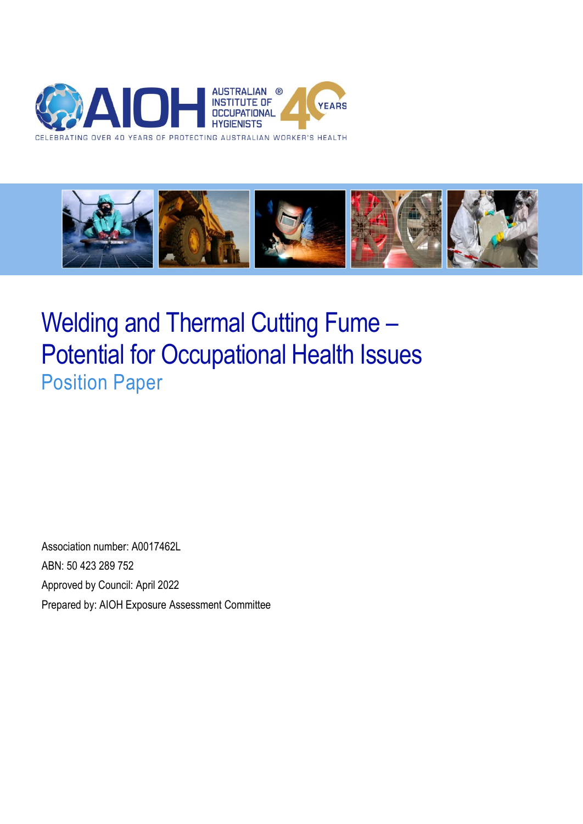



# Welding and Thermal Cutting Fume – Potential for Occupational Health Issues Position Paper

Association number: A0017462L ABN: 50 423 289 752 Approved by Council: April 2022 Prepared by: AIOH Exposure Assessment Committee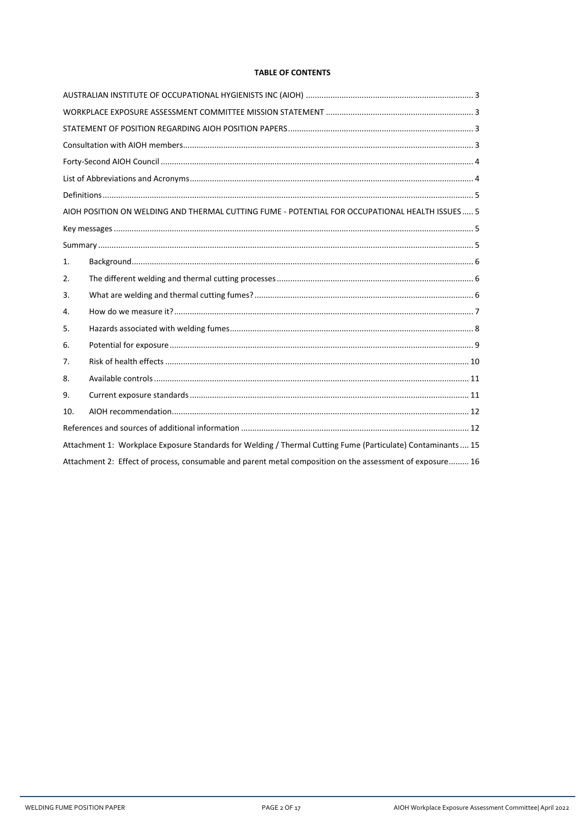## **TABLE OF CONTENTS**

|                                                                                                             | AIOH POSITION ON WELDING AND THERMAL CUTTING FUME - POTENTIAL FOR OCCUPATIONAL HEALTH ISSUES 5 |  |  |  |  |
|-------------------------------------------------------------------------------------------------------------|------------------------------------------------------------------------------------------------|--|--|--|--|
|                                                                                                             |                                                                                                |  |  |  |  |
|                                                                                                             |                                                                                                |  |  |  |  |
| 1.                                                                                                          |                                                                                                |  |  |  |  |
| 2.                                                                                                          |                                                                                                |  |  |  |  |
| 3.                                                                                                          |                                                                                                |  |  |  |  |
| 4.                                                                                                          |                                                                                                |  |  |  |  |
| 5.                                                                                                          |                                                                                                |  |  |  |  |
| 6.                                                                                                          |                                                                                                |  |  |  |  |
| 7.                                                                                                          |                                                                                                |  |  |  |  |
| 8.                                                                                                          |                                                                                                |  |  |  |  |
| 9.                                                                                                          |                                                                                                |  |  |  |  |
| 10.                                                                                                         |                                                                                                |  |  |  |  |
|                                                                                                             |                                                                                                |  |  |  |  |
| Attachment 1: Workplace Exposure Standards for Welding / Thermal Cutting Fume (Particulate) Contaminants 15 |                                                                                                |  |  |  |  |
| Attachment 2: Effect of process, consumable and parent metal composition on the assessment of exposure 16   |                                                                                                |  |  |  |  |

AIOH Workplace Exposure Assessment Committee| April 2022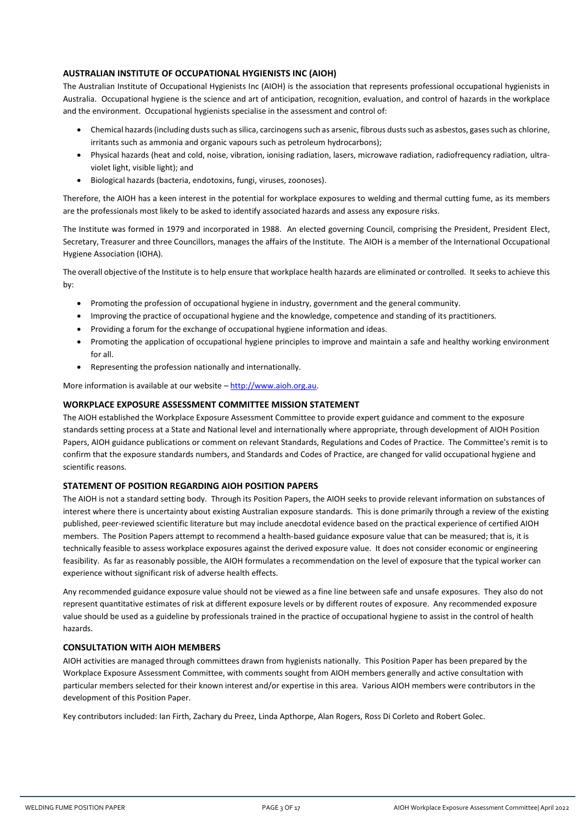## <span id="page-2-0"></span>**AUSTRALIAN INSTITUTE OF OCCUPATIONAL HYGIENISTS INC (AIOH)**

The Australian Institute of Occupational Hygienists Inc (AIOH) is the association that represents professional occupational hygienists in Australia. Occupational hygiene is the science and art of anticipation, recognition, evaluation, and control of hazards in the workplace and the environment. Occupational hygienists specialise in the assessment and control of:

- Chemical hazards (including dusts such as silica, carcinogens such as arsenic, fibrous dusts such as asbestos, gases such as chlorine, irritants such as ammonia and organic vapours such as petroleum hydrocarbons);
- Physical hazards (heat and cold, noise, vibration, ionising radiation, lasers, microwave radiation, radiofrequency radiation, ultraviolet light, visible light); and
- Biological hazards (bacteria, endotoxins, fungi, viruses, zoonoses).

Therefore, the AIOH has a keen interest in the potential for workplace exposures to welding and thermal cutting fume, as its members are the professionals most likely to be asked to identify associated hazards and assess any exposure risks.

The Institute was formed in 1979 and incorporated in 1988. An elected governing Council, comprising the President, President Elect, Secretary, Treasurer and three Councillors, manages the affairs of the Institute. The AIOH is a member of the International Occupational Hygiene Association (IOHA).

The overall objective of the Institute is to help ensure that workplace health hazards are eliminated or controlled. It seeks to achieve this by:

- Promoting the profession of occupational hygiene in industry, government and the general community.
- Improving the practice of occupational hygiene and the knowledge, competence and standing of its practitioners.
- Providing a forum for the exchange of occupational hygiene information and ideas.
- Promoting the application of occupational hygiene principles to improve and maintain a safe and healthy working environment for all.
- Representing the profession nationally and internationally.

More information is available at our website – [http://www.aioh.org.au.](http://www.aioh.org.au/)

#### <span id="page-2-1"></span>**WORKPLACE EXPOSURE ASSESSMENT COMMITTEE MISSION STATEMENT**

The AIOH established the Workplace Exposure Assessment Committee to provide expert guidance and comment to the exposure standards setting process at a State and National level and internationally where appropriate, through development of AIOH Position Papers, AIOH guidance publications or comment on relevant Standards, Regulations and Codes of Practice. The Committee's remit is to confirm that the exposure standards numbers, and Standards and Codes of Practice, are changed for valid occupational hygiene and scientific reasons.

#### <span id="page-2-2"></span>**STATEMENT OF POSITION REGARDING AIOH POSITION PAPERS**

The AIOH is not a standard setting body. Through its Position Papers, the AIOH seeks to provide relevant information on substances of interest where there is uncertainty about existing Australian exposure standards. This is done primarily through a review of the existing published, peer-reviewed scientific literature but may include anecdotal evidence based on the practical experience of certified AIOH members. The Position Papers attempt to recommend a health-based guidance exposure value that can be measured; that is, it is technically feasible to assess workplace exposures against the derived exposure value. It does not consider economic or engineering feasibility. As far as reasonably possible, the AIOH formulates a recommendation on the level of exposure that the typical worker can experience without significant risk of adverse health effects.

Any recommended guidance exposure value should not be viewed as a fine line between safe and unsafe exposures. They also do not represent quantitative estimates of risk at different exposure levels or by different routes of exposure. Any recommended exposure value should be used as a guideline by professionals trained in the practice of occupational hygiene to assist in the control of health hazards.

#### <span id="page-2-3"></span>**CONSULTATION WITH AIOH MEMBERS**

AIOH activities are managed through committees drawn from hygienists nationally. This Position Paper has been prepared by the Workplace Exposure Assessment Committee, with comments sought from AIOH members generally and active consultation with particular members selected for their known interest and/or expertise in this area. Various AIOH members were contributors in the development of this Position Paper.

Key contributors included: Ian Firth, Zachary du Preez, Linda Apthorpe, Alan Rogers, Ross Di Corleto and Robert Golec.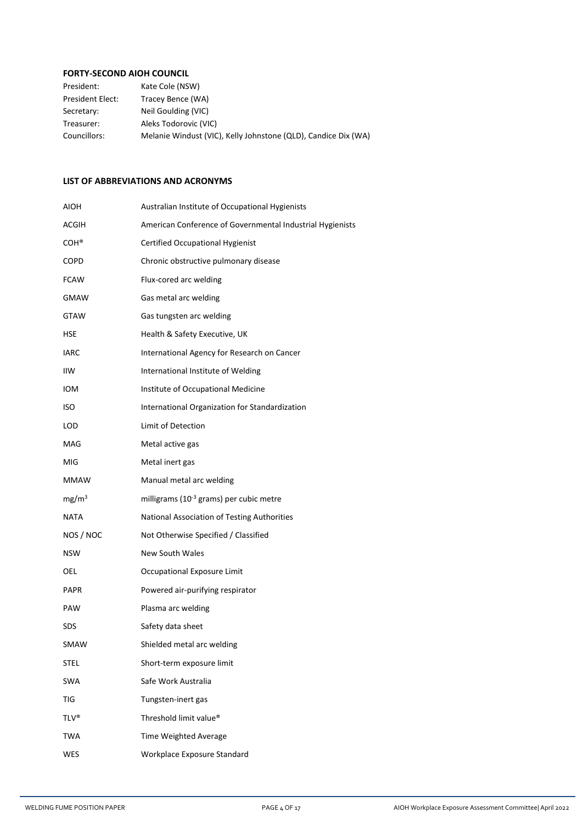# <span id="page-3-0"></span>**FORTY-SECOND AIOH COUNCIL**

| President:              | Kate Cole (NSW)                                                |
|-------------------------|----------------------------------------------------------------|
| <b>President Elect:</b> | Tracey Bence (WA)                                              |
| Secretary:              | Neil Goulding (VIC)                                            |
| Treasurer:              | Aleks Todorovic (VIC)                                          |
| Councillors:            | Melanie Windust (VIC), Kelly Johnstone (QLD), Candice Dix (WA) |

## <span id="page-3-1"></span>**LIST OF ABBREVIATIONS AND ACRONYMS**

| AIOH              | Australian Institute of Occupational Hygienists           |
|-------------------|-----------------------------------------------------------|
| ACGIH             | American Conference of Governmental Industrial Hygienists |
| COH <sup>®</sup>  | <b>Certified Occupational Hygienist</b>                   |
| COPD              | Chronic obstructive pulmonary disease                     |
| <b>FCAW</b>       | Flux-cored arc welding                                    |
| GMAW              | Gas metal arc welding                                     |
| GTAW              | Gas tungsten arc welding                                  |
| HSE               | Health & Safety Executive, UK                             |
| <b>IARC</b>       | International Agency for Research on Cancer               |
| IIW               | International Institute of Welding                        |
| IOM               | Institute of Occupational Medicine                        |
| <b>ISO</b>        | International Organization for Standardization            |
| LOD               | Limit of Detection                                        |
| MAG               | Metal active gas                                          |
| MIG               | Metal inert gas                                           |
| MMAW              | Manual metal arc welding                                  |
| mg/m <sup>3</sup> | milligrams (10 <sup>-3</sup> grams) per cubic metre       |
| <b>NATA</b>       | National Association of Testing Authorities               |
| NOS / NOC         | Not Otherwise Specified / Classified                      |
| NSW               | <b>New South Wales</b>                                    |
| OEL               | Occupational Exposure Limit                               |
| PAPR              | Powered air-purifying respirator                          |
| PAW               | Plasma arc welding                                        |
| SDS               | Safety data sheet                                         |
| SMAW              | Shielded metal arc welding                                |
| <b>STEL</b>       | Short-term exposure limit                                 |
| <b>SWA</b>        | Safe Work Australia                                       |
| TIG               | Tungsten-inert gas                                        |
| <b>TLV®</b>       | Threshold limit value®                                    |
| TWA               | Time Weighted Average                                     |
| <b>WES</b>        | Workplace Exposure Standard                               |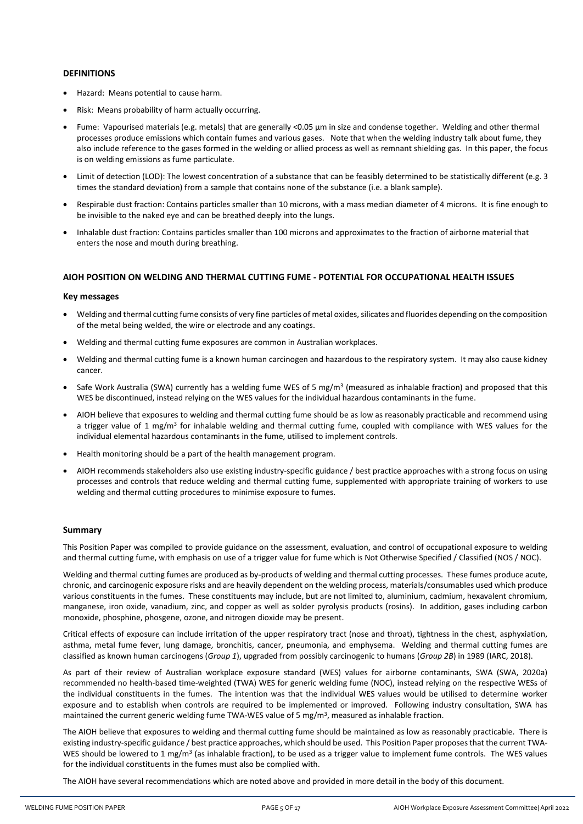## <span id="page-4-0"></span>**DEFINITIONS**

- Hazard: Means potential to cause harm.
- Risk: Means probability of harm actually occurring.
- Fume: Vapourised materials (e.g. metals) that are generally <0.05 µm in size and condense together. Welding and other thermal processes produce emissions which contain fumes and various gases. Note that when the welding industry talk about fume, they also include reference to the gases formed in the welding or allied process as well as remnant shielding gas. In this paper, the focus is on welding emissions as fume particulate.
- Limit of detection (LOD): The lowest concentration of a substance that can be feasibly determined to be statistically different (e.g. 3 times the standard deviation) from a sample that contains none of the substance (i.e. a blank sample).
- Respirable dust fraction: Contains particles smaller than 10 microns, with a mass median diameter of 4 microns. It is fine enough to be invisible to the naked eye and can be breathed deeply into the lungs.
- Inhalable dust fraction: Contains particles smaller than 100 microns and approximates to the fraction of airborne material that enters the nose and mouth during breathing.

## <span id="page-4-1"></span>**AIOH POSITION ON WELDING AND THERMAL CUTTING FUME - POTENTIAL FOR OCCUPATIONAL HEALTH ISSUES**

#### <span id="page-4-2"></span>**Key messages**

- Welding and thermal cutting fume consists of very fine particles of metal oxides, silicates and fluorides depending on the composition of the metal being welded, the wire or electrode and any coatings.
- Welding and thermal cutting fume exposures are common in Australian workplaces.
- Welding and thermal cutting fume is a known human carcinogen and hazardous to the respiratory system. It may also cause kidney cancer.
- Safe Work Australia (SWA) currently has a welding fume WES of 5 mg/m<sup>3</sup> (measured as inhalable fraction) and proposed that this WES be discontinued, instead relying on the WES values for the individual hazardous contaminants in the fume.
- AIOH believe that exposures to welding and thermal cutting fume should be as low as reasonably practicable and recommend using a trigger value of 1 mg/m<sup>3</sup> for inhalable welding and thermal cutting fume, coupled with compliance with WES values for the individual elemental hazardous contaminants in the fume, utilised to implement controls.
- Health monitoring should be a part of the health management program.
- AIOH recommends stakeholders also use existing industry-specific guidance / best practice approaches with a strong focus on using processes and controls that reduce welding and thermal cutting fume, supplemented with appropriate training of workers to use welding and thermal cutting procedures to minimise exposure to fumes.

## <span id="page-4-3"></span>**Summary**

This Position Paper was compiled to provide guidance on the assessment, evaluation, and control of occupational exposure to welding and thermal cutting fume, with emphasis on use of a trigger value for fume which is Not Otherwise Specified / Classified (NOS / NOC).

Welding and thermal cutting fumes are produced as by-products of welding and thermal cutting processes. These fumes produce acute, chronic, and carcinogenic exposure risks and are heavily dependent on the welding process, materials/consumables used which produce various constituents in the fumes. These constituents may include, but are not limited to, aluminium, cadmium, hexavalent chromium, manganese, iron oxide, vanadium, zinc, and copper as well as solder pyrolysis products (rosins). In addition, gases including carbon monoxide, phosphine, phosgene, ozone, and nitrogen dioxide may be present.

Critical effects of exposure can include irritation of the upper respiratory tract (nose and throat), tightness in the chest, asphyxiation, asthma, metal fume fever, lung damage, bronchitis, cancer, pneumonia, and emphysema. Welding and thermal cutting fumes are classified as known human carcinogens (*Group 1*), upgraded from possibly carcinogenic to humans (*Group 2B*) in 1989 (IARC, 2018).

As part of their review of Australian workplace exposure standard (WES) values for airborne contaminants, SWA (SWA, 2020a) recommended no health-based time-weighted (TWA) WES for generic welding fume (NOC), instead relying on the respective WESs of the individual constituents in the fumes. The intention was that the individual WES values would be utilised to determine worker exposure and to establish when controls are required to be implemented or improved. Following industry consultation, SWA has maintained the current generic welding fume TWA-WES value of 5 mg/m<sup>3</sup>, measured as inhalable fraction.

The AIOH believe that exposures to welding and thermal cutting fume should be maintained as low as reasonably practicable. There is existing industry-specific guidance / best practice approaches, which should be used. This Position Paper proposes that the current TWA-WES should be lowered to 1 mg/m<sup>3</sup> (as inhalable fraction), to be used as a trigger value to implement fume controls. The WES values for the individual constituents in the fumes must also be complied with.

The AIOH have several recommendations which are noted above and provided in more detail in the body of this document.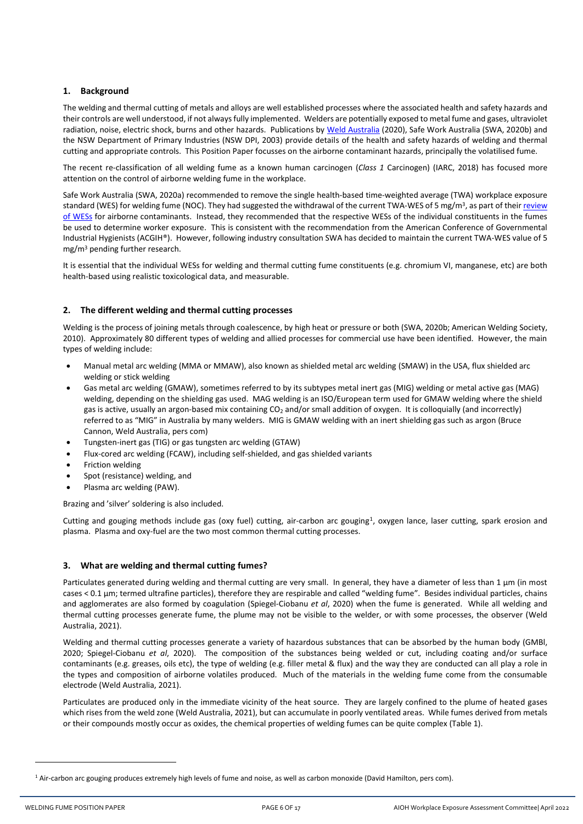## <span id="page-5-0"></span>**1. Background**

The welding and thermal cutting of metals and alloys are well established processes where the associated health and safety hazards and their controls are well understood, if not always fully implemented. Welders are potentially exposed to metal fume and gases, ultraviolet radiation, noise, electric shock, burns and other hazards. Publications by [Weld Australia](https://weldaustralia.com.au/solutions/technical-resource-centre/) (2020), Safe Work Australia (SWA, 2020b) and the NSW Department of Primary Industries (NSW DPI, 2003) provide details of the health and safety hazards of welding and thermal cutting and appropriate controls. This Position Paper focusses on the airborne contaminant hazards, principally the volatilised fume.

The recent re-classification of all welding fume as a known human carcinogen (*Class 1* Carcinogen) (IARC, 2018) has focused more attention on the control of airborne welding fume in the workplace.

Safe Work Australia (SWA, 2020a) recommended to remove the single health-based time-weighted average (TWA) workplace exposure standard (WES) for welding fume (NOC). They had suggested the withdrawal of the current TWA-WES of 5 mg/m<sup>3</sup>, as part of their <u>review</u> [of WESs](https://engage.swa.gov.au/workplace-exposure-standards-review) for airborne contaminants. Instead, they recommended that the respective WESs of the individual constituents in the fumes be used to determine worker exposure. This is consistent with the recommendation from the American Conference of Governmental Industrial Hygienists (ACGIH®). However, following industry consultation SWA has decided to maintain the current TWA-WES value of 5 mg/m<sup>3</sup> pending further research.

It is essential that the individual WESs for welding and thermal cutting fume constituents (e.g. chromium VI, manganese, etc) are both health-based using realistic toxicological data, and measurable.

## <span id="page-5-1"></span>**2. The different welding and thermal cutting processes**

Welding is the process of joining metals through coalescence, by high heat or pressure or both (SWA, 2020b; American Welding Society, 2010). Approximately 80 different types of welding and allied processes for commercial use have been identified. However, the main types of welding include:

- Manual metal arc welding (MMA or MMAW), also known as shielded metal arc welding (SMAW) in the USA, flux shielded arc welding or stick welding
- Gas metal arc welding (GMAW), sometimes referred to by its subtypes metal inert gas (MIG) welding or metal active gas (MAG) welding, depending on the shielding gas used. MAG welding is an ISO/European term used for GMAW welding where the shield gas is active, usually an argon-based mix containing  $CO<sub>2</sub>$  and/or small addition of oxygen. It is colloquially (and incorrectly) referred to as "MIG" in Australia by many welders. MIG is GMAW welding with an inert shielding gas such as argon (Bruce Cannon, Weld Australia, pers com)
- Tungsten-inert gas (TIG) or gas tungsten arc welding (GTAW)
- Flux-cored arc welding (FCAW), including self-shielded, and gas shielded variants
- Friction welding
- Spot (resistance) welding, and
- Plasma arc welding (PAW).

Brazing and 'silver' soldering is also included.

Cutting and gouging methods include gas (oxy fuel) cutting, air-carbon arc gouging<sup>1</sup>, oxygen lance, laser cutting, spark erosion and plasma. Plasma and oxy-fuel are the two most common thermal cutting processes.

## <span id="page-5-2"></span>**3. What are welding and thermal cutting fumes?**

Particulates generated during welding and thermal cutting are very small. In general, they have a diameter of less than 1 µm (in most cases < 0.1 µm; termed ultrafine particles), therefore they are respirable and called "welding fume". Besides individual particles, chains and agglomerates are also formed by coagulation (Spiegel-Ciobanu *et al*, 2020) when the fume is generated. While all welding and thermal cutting processes generate fume, the plume may not be visible to the welder, or with some processes, the observer (Weld Australia, 2021).

Welding and thermal cutting processes generate a variety of hazardous substances that can be absorbed by the human body (GMBl, 2020; Spiegel-Ciobanu *et al*, 2020). The composition of the substances being welded or cut, including coating and/or surface contaminants (e.g. greases, oils etc), the type of welding (e.g. filler metal & flux) and the way they are conducted can all play a role in the types and composition of airborne volatiles produced. Much of the materials in the welding fume come from the consumable electrode (Weld Australia, 2021).

Particulates are produced only in the immediate vicinity of the heat source. They are largely confined to the plume of heated gases which rises from the weld zone (Weld Australia, 2021), but can accumulate in poorly ventilated areas. While fumes derived from metals or their compounds mostly occur as oxides, the chemical properties of welding fumes can be quite complex (Table 1).

 $1$  Air-carbon arc gouging produces extremely high levels of fume and noise, as well as carbon monoxide (David Hamilton, pers com).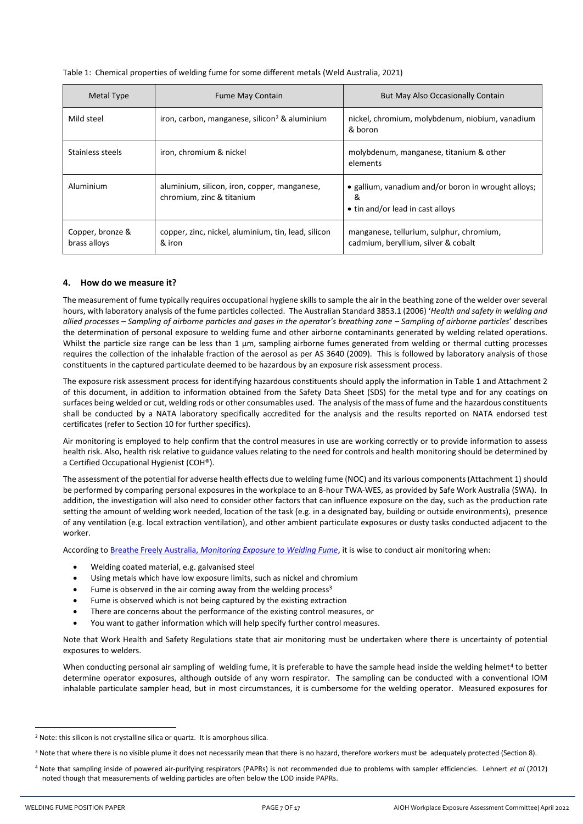| Table 1: Chemical properties of welding fume for some different metals (Weld Australia, 2021) |
|-----------------------------------------------------------------------------------------------|
|-----------------------------------------------------------------------------------------------|

| Metal Type                       | <b>Fume May Contain</b>                                                   | But May Also Occasionally Contain                                                            |
|----------------------------------|---------------------------------------------------------------------------|----------------------------------------------------------------------------------------------|
| Mild steel                       | iron, carbon, manganese, silicon <sup>2</sup> & aluminium                 | nickel, chromium, molybdenum, niobium, vanadium<br>& boron                                   |
| Stainless steels                 | iron, chromium & nickel                                                   | molybdenum, manganese, titanium & other<br>elements                                          |
| Aluminium                        | aluminium, silicon, iron, copper, manganese,<br>chromium, zinc & titanium | • gallium, vanadium and/or boron in wrought alloys;<br>&<br>• tin and/or lead in cast alloys |
| Copper, bronze &<br>brass alloys | copper, zinc, nickel, aluminium, tin, lead, silicon<br>& iron             | manganese, tellurium, sulphur, chromium,<br>cadmium, beryllium, silver & cobalt              |

## <span id="page-6-0"></span>**4. How do we measure it?**

The measurement of fume typically requires occupational hygiene skills to sample the air in the beathing zone of the welder over several hours, with laboratory analysis of the fume particles collected. The Australian Standard 3853.1 (2006) '*Health and safety in welding and allied processes – Sampling of airborne particles and gases in the operator's breathing zone – Sampling of airborne particles*' describes the determination of personal exposure to welding fume and other airborne contaminants generated by welding related operations. Whilst the particle size range can be less than 1 µm, sampling airborne fumes generated from welding or thermal cutting processes requires the collection of the inhalable fraction of the aerosol as per AS 3640 (2009). This is followed by laboratory analysis of those constituents in the captured particulate deemed to be hazardous by an exposure risk assessment process.

The exposure risk assessment process for identifying hazardous constituents should apply the information in Table 1 and Attachment 2 of this document, in addition to information obtained from the Safety Data Sheet (SDS) for the metal type and for any coatings on surfaces being welded or cut, welding rods or other consumables used. The analysis of the mass of fume and the hazardous constituents shall be conducted by a NATA laboratory specifically accredited for the analysis and the results reported on NATA endorsed test certificates (refer to Section 10 for further specifics).

Air monitoring is employed to help confirm that the control measures in use are working correctly or to provide information to assess health risk. Also, health risk relative to guidance values relating to the need for controls and health monitoring should be determined by a Certified Occupational Hygienist (COH®).

The assessment of the potential for adverse health effects due to welding fume (NOC) and its various components(Attachment 1) should be performed by comparing personal exposures in the workplace to an 8-hour TWA-WES, as provided by Safe Work Australia (SWA). In addition, the investigation will also need to consider other factors that can influence exposure on the day, such as the production rate setting the amount of welding work needed, location of the task (e.g. in a designated bay, building or outside environments), presence of any ventilation (e.g. local extraction ventilation), and other ambient particulate exposures or dusty tasks conducted adjacent to the worker.

According to Breathe Freely Australia, *[Monitoring Exposure to Welding Fume](https://www.breathefreelyaustralia.org.au/wp-content/uploads/2019/06/Monitoring-exposure-to-welding-fume.pdf)*, it is wise to conduct air monitoring when:

- Welding coated material, e.g. galvanised steel
- Using metals which have low exposure limits, such as nickel and chromium
- Fume is observed in the air coming away from the welding process<sup>3</sup>
- Fume is observed which is not being captured by the existing extraction
- There are concerns about the performance of the existing control measures, or
- You want to gather information which will help specify further control measures.

Note that Work Health and Safety Regulations state that air monitoring must be undertaken where there is uncertainty of potential exposures to welders.

When conducting personal air sampling of welding fume, it is preferable to have the sample head inside the welding helmet<sup>4</sup> to better determine operator exposures, although outside of any worn respirator. The sampling can be conducted with a conventional IOM inhalable particulate sampler head, but in most circumstances, it is cumbersome for the welding operator. Measured exposures for

<sup>&</sup>lt;sup>2</sup> Note: this silicon is not crystalline silica or quartz. It is amorphous silica.

<sup>3</sup> Note that where there is no visible plume it does not necessarily mean that there is no hazard, therefore workers must be adequately protected (Section 8).

<sup>4</sup> Note that sampling inside of powered air-purifying respirators (PAPRs) is not recommended due to problems with sampler efficiencies. Lehnert *et al* (2012) noted though that measurements of welding particles are often below the LOD inside PAPRs.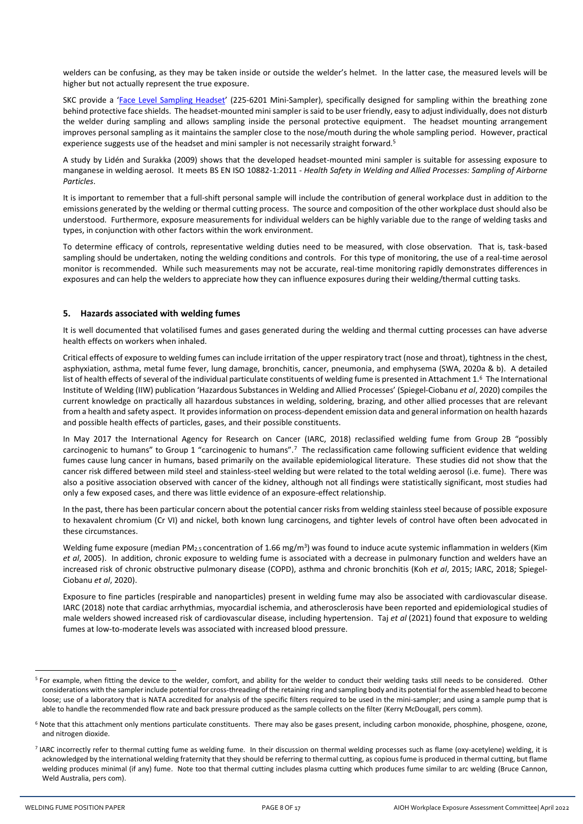welders can be confusing, as they may be taken inside or outside the welder's helmet. In the latter case, the measured levels will be higher but not actually represent the true exposure.

SKC provide a '[Face Level Sampling Headset](https://skcltd.com/face-level-sampling.html)' (225-6201 Mini-Sampler), specifically designed for sampling within the breathing zone behind protective face shields. The headset-mounted mini sampler is said to be user friendly, easy to adjust individually, does not disturb the welder during sampling and allows sampling inside the personal protective equipment. The headset mounting arrangement improves personal sampling as it maintains the sampler close to the nose/mouth during the whole sampling period. However, practical experience suggests use of the headset and mini sampler is not necessarily straight forward.<sup>5</sup>

A study by Lidén and Surakka (2009) shows that the developed headset-mounted mini sampler is suitable for assessing exposure to manganese in welding aerosol. It meets BS EN ISO 10882-1:2011 - *Health Safety in Welding and Allied Processes: Sampling of Airborne Particles*.

It is important to remember that a full-shift personal sample will include the contribution of general workplace dust in addition to the emissions generated by the welding or thermal cutting process. The source and composition of the other workplace dust should also be understood. Furthermore, exposure measurements for individual welders can be highly variable due to the range of welding tasks and types, in conjunction with other factors within the work environment.

To determine efficacy of controls, representative welding duties need to be measured, with close observation. That is, task-based sampling should be undertaken, noting the welding conditions and controls. For this type of monitoring, the use of a real-time aerosol monitor is recommended. While such measurements may not be accurate, real-time monitoring rapidly demonstrates differences in exposures and can help the welders to appreciate how they can influence exposures during their welding/thermal cutting tasks.

#### <span id="page-7-0"></span>**5. Hazards associated with welding fumes**

It is well documented that volatilised fumes and gases generated during the welding and thermal cutting processes can have adverse health effects on workers when inhaled.

Critical effects of exposure to welding fumes can include irritation of the upper respiratory tract (nose and throat), tightness in the chest, asphyxiation, asthma, metal fume fever, lung damage, bronchitis, cancer, pneumonia, and emphysema (SWA, 2020a & b). A detailed list of health effects of several of the individual particulate constituents of welding fume is presented in Attachment 1.<sup>6</sup> The International Institute of Welding (IIW) publication 'Hazardous Substances in Welding and Allied Processes' (Spiegel-Ciobanu *et al*, 2020) compiles the current knowledge on practically all hazardous substances in welding, soldering, brazing, and other allied processes that are relevant from a health and safety aspect. It provides information on process-dependent emission data and general information on health hazards and possible health effects of particles, gases, and their possible constituents.

In May 2017 the International Agency for Research on Cancer (IARC, 2018) reclassified welding fume from Group 2B "possibly carcinogenic to humans" to Group 1 "carcinogenic to humans".<sup>7</sup> The reclassification came following sufficient evidence that welding fumes cause lung cancer in humans, based primarily on the available epidemiological literature. These studies did not show that the cancer risk differed between mild steel and stainless-steel welding but were related to the total welding aerosol (i.e. fume). There was also a positive association observed with cancer of the kidney, although not all findings were statistically significant, most studies had only a few exposed cases, and there was little evidence of an exposure-effect relationship.

In the past, there has been particular concern about the potential cancer risks from welding stainless steel because of possible exposure to hexavalent chromium (Cr VI) and nickel, both known lung carcinogens, and tighter levels of control have often been advocated in these circumstances.

Welding fume exposure (median PM<sub>2.5</sub> concentration of 1.66 mg/m<sup>3</sup>) was found to induce acute systemic inflammation in welders (Kim *et al*, 2005). In addition, chronic exposure to welding fume is associated with a decrease in pulmonary function and welders have an increased risk of chronic obstructive pulmonary disease (COPD), asthma and chronic bronchitis (Koh *et al*, 2015; IARC, 2018; Spiegel-Ciobanu *et al*, 2020).

Exposure to fine particles (respirable and nanoparticles) present in welding fume may also be associated with cardiovascular disease. IARC (2018) note that cardiac arrhythmias, myocardial ischemia, and atherosclerosis have been reported and epidemiological studies of male welders showed increased risk of cardiovascular disease, including hypertension. Taj *et al* (2021) found that exposure to welding fumes at low-to-moderate levels was associated with increased blood pressure.

<sup>&</sup>lt;sup>5</sup> For example, when fitting the device to the welder, comfort, and ability for the welder to conduct their welding tasks still needs to be considered. Other considerations with the sampler include potential for cross-threading of the retaining ring and sampling body and its potential for the assembled head to become loose; use of a laboratory that is NATA accredited for analysis of the specific filters required to be used in the mini-sampler; and using a sample pump that is able to handle the recommended flow rate and back pressure produced as the sample collects on the filter (Kerry McDougall, pers comm).

<sup>&</sup>lt;sup>6</sup> Note that this attachment only mentions particulate constituents. There may also be gases present, including carbon monoxide, phosphine, phosgene, ozone, and nitrogen dioxide.

<sup>&</sup>lt;sup>7</sup> IARC incorrectly refer to thermal cutting fume as welding fume. In their discussion on thermal welding processes such as flame (oxy-acetylene) welding, it is acknowledged by the international welding fraternity that they should be referring to thermal cutting, as copious fume is produced in thermal cutting, but flame welding produces minimal (if any) fume. Note too that thermal cutting includes plasma cutting which produces fume similar to arc welding (Bruce Cannon, Weld Australia, pers com).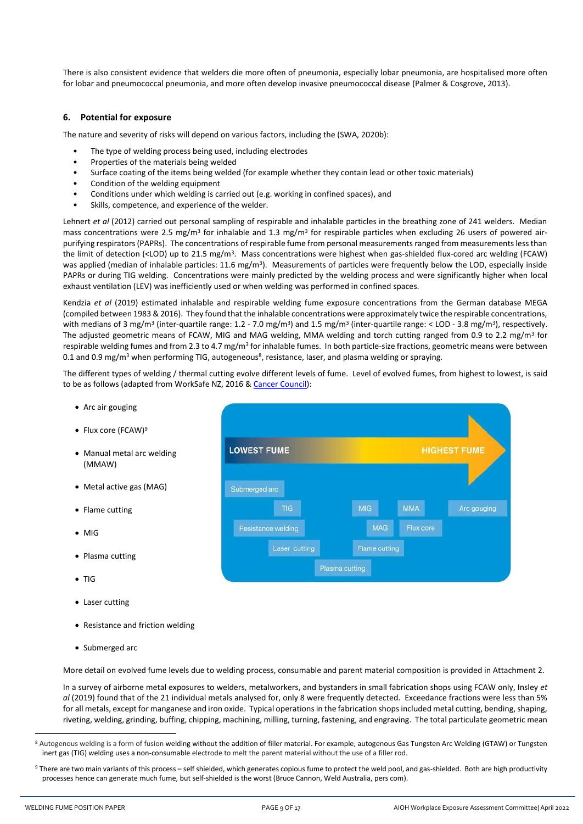There is also consistent evidence that welders die more often of pneumonia, especially lobar pneumonia, are hospitalised more often for lobar and pneumococcal pneumonia, and more often develop invasive pneumococcal disease (Palmer & Cosgrove, 2013).

#### <span id="page-8-0"></span>**6. Potential for exposure**

The nature and severity of risks will depend on various factors, including the (SWA, 2020b):

- The type of welding process being used, including electrodes
- Properties of the materials being welded
- Surface coating of the items being welded (for example whether they contain lead or other toxic materials)
- Condition of the welding equipment
- Conditions under which welding is carried out (e.g. working in confined spaces), and
- Skills, competence, and experience of the welder.

Lehnert *et al* (2012) carried out personal sampling of respirable and inhalable particles in the breathing zone of 241 welders. Median mass concentrations were 2.5 mg/m<sup>3</sup> for inhalable and 1.3 mg/m<sup>3</sup> for respirable particles when excluding 26 users of powered airpurifying respirators (PAPRs). The concentrations of respirable fume from personal measurements ranged from measurements less than the limit of detection (<LOD) up to 21.5 mg/m<sup>3</sup>. Mass concentrations were highest when gas-shielded flux-cored arc welding (FCAW) was applied (median of inhalable particles: 11.6 mg/m<sup>3</sup>). Measurements of particles were frequently below the LOD, especially inside PAPRs or during TIG welding. Concentrations were mainly predicted by the welding process and were significantly higher when local exhaust ventilation (LEV) was inefficiently used or when welding was performed in confined spaces.

Kendzia *et al* (2019) estimated inhalable and respirable welding fume exposure concentrations from the German database MEGA (compiled between 1983 & 2016). They found that the inhalable concentrations were approximately twice the respirable concentrations, with medians of 3 mg/m<sup>3</sup> (inter-quartile range: 1.2 - 7.0 mg/m<sup>3</sup>) and 1.5 mg/m<sup>3</sup> (inter-quartile range: < LOD - 3.8 mg/m<sup>3</sup>), respectively. The adjusted geometric means of FCAW, MIG and MAG welding, MMA welding and torch cutting ranged from 0.9 to 2.2 mg/m<sup>3</sup> for respirable welding fumes and from 2.3 to 4.7 mg/m<sup>3</sup> for inhalable fumes. In both particle-size fractions, geometric means were between 0.1 and 0.9 mg/m<sup>3</sup> when performing TIG, autogeneous<sup>8</sup>, resistance, laser, and plasma welding or spraying.

The different types of welding / thermal cutting evolve different levels of fume. Level of evolved fumes, from highest to lowest, is said to be as follows (adapted from WorkSafe NZ, 2016 & [Cancer Council\)](https://www.cancer.org.au/cancer-information/causes-and-prevention/workplace-cancer/welding):

- Arc air gouging
- Flux core (FCAW)<sup>9</sup>
- Manual metal arc welding (MMAW)
- Metal active gas (MAG)
- Flame cutting
- MIG
- Plasma cutting
- TIG
- Laser cutting
- Resistance and friction welding
- Submerged arc

More detail on evolved fume levels due to welding process, consumable and parent material composition is provided in Attachment 2.

In a survey of airborne metal exposures to welders, metalworkers, and bystanders in small fabrication shops using FCAW only, Insley *et al* (2019) found that of the 21 individual metals analysed for, only 8 were frequently detected. Exceedance fractions were less than 5% for all metals, except for manganese and iron oxide. Typical operations in the fabrication shops included metal cutting, bending, shaping, riveting, welding, grinding, buffing, chipping, machining, milling, turning, fastening, and engraving. The total particulate geometric mean



<sup>8</sup> Autogenous welding is a form of fusion welding without the addition of filler material. For example, autogenous Gas Tungsten Arc Welding (GTAW) or Tungsten inert gas (TIG) welding uses a non-consumable electrode to melt the parent material without the use of a filler rod.

<sup>9</sup> There are two main variants of this process - self shielded, which generates copious fume to protect the weld pool, and gas-shielded. Both are high productivity processes hence can generate much fume, but self-shielded is the worst (Bruce Cannon, Weld Australia, pers com).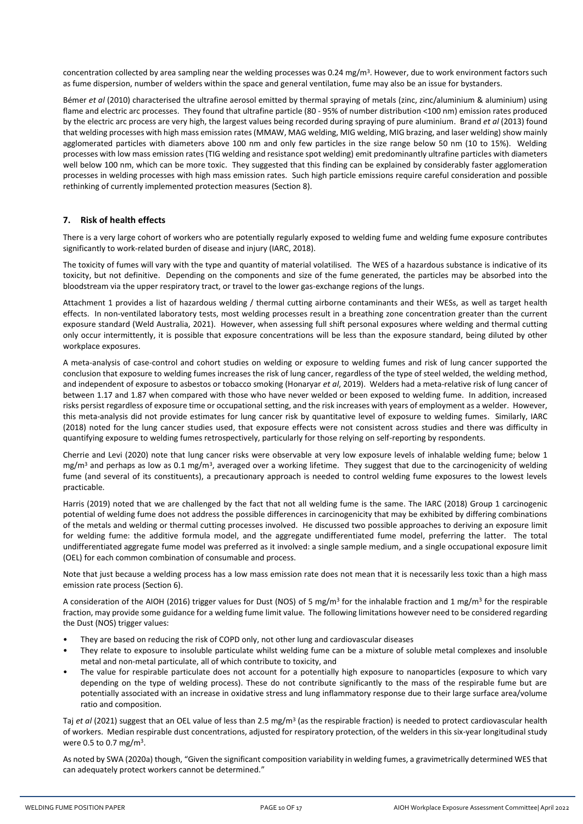concentration collected by area sampling near the welding processes was 0.24 mg/m<sup>3</sup>. However, due to work environment factors such as fume dispersion, number of welders within the space and general ventilation, fume may also be an issue for bystanders.

Bémer *et al* (2010) characterised the ultrafine aerosol emitted by thermal spraying of metals (zinc, zinc/aluminium & aluminium) using flame and electric arc processes. They found that ultrafine particle (80 - 95% of number distribution <100 nm) emission rates produced by the electric arc process are very high, the largest values being recorded during spraying of pure aluminium. Brand *et al* (2013) found that welding processes with high mass emission rates (MMAW, MAG welding, MIG welding, MIG brazing, and laser welding) show mainly agglomerated particles with diameters above 100 nm and only few particles in the size range below 50 nm (10 to 15%). Welding processes with low mass emission rates (TIG welding and resistance spot welding) emit predominantly ultrafine particles with diameters well below 100 nm, which can be more toxic. They suggested that this finding can be explained by considerably faster agglomeration processes in welding processes with high mass emission rates. Such high particle emissions require careful consideration and possible rethinking of currently implemented protection measures (Section 8).

#### <span id="page-9-0"></span>**7. Risk of health effects**

There is a very large cohort of workers who are potentially regularly exposed to welding fume and welding fume exposure contributes significantly to work-related burden of disease and injury (IARC, 2018).

The toxicity of fumes will vary with the type and quantity of material volatilised. The WES of a hazardous substance is indicative of its toxicity, but not definitive. Depending on the components and size of the fume generated, the particles may be absorbed into the bloodstream via the upper respiratory tract, or travel to the lower gas-exchange regions of the lungs.

Attachment 1 provides a list of hazardous welding / thermal cutting airborne contaminants and their WESs, as well as target health effects. In non-ventilated laboratory tests, most welding processes result in a breathing zone concentration greater than the current exposure standard (Weld Australia, 2021). However, when assessing full shift personal exposures where welding and thermal cutting only occur intermittently, it is possible that exposure concentrations will be less than the exposure standard, being diluted by other workplace exposures.

A meta-analysis of case-control and cohort studies on welding or exposure to welding fumes and risk of lung cancer supported the conclusion that exposure to welding fumes increases the risk of lung cancer, regardless of the type of steel welded, the welding method, and independent of exposure to asbestos or tobacco smoking (Honaryar *et al*, 2019). Welders had a meta-relative risk of lung cancer of between 1.17 and 1.87 when compared with those who have never welded or been exposed to welding fume. In addition, increased risks persist regardless of exposure time or occupational setting, and the risk increases with years of employment as a welder. However, this meta-analysis did not provide estimates for lung cancer risk by quantitative level of exposure to welding fumes. Similarly, IARC (2018) noted for the lung cancer studies used, that exposure effects were not consistent across studies and there was difficulty in quantifying exposure to welding fumes retrospectively, particularly for those relying on self-reporting by respondents.

Cherrie and Levi (2020) note that lung cancer risks were observable at very low exposure levels of inhalable welding fume; below 1 mg/m<sup>3</sup> and perhaps as low as 0.1 mg/m<sup>3</sup>, averaged over a working lifetime. They suggest that due to the carcinogenicity of welding fume (and several of its constituents), a precautionary approach is needed to control welding fume exposures to the lowest levels practicable.

Harris (2019) noted that we are challenged by the fact that not all welding fume is the same. The IARC (2018) Group 1 carcinogenic potential of welding fume does not address the possible differences in carcinogenicity that may be exhibited by differing combinations of the metals and welding or thermal cutting processes involved. He discussed two possible approaches to deriving an exposure limit for welding fume: the additive formula model, and the aggregate undifferentiated fume model, preferring the latter. The total undifferentiated aggregate fume model was preferred as it involved: a single sample medium, and a single occupational exposure limit (OEL) for each common combination of consumable and process.

Note that just because a welding process has a low mass emission rate does not mean that it is necessarily less toxic than a high mass emission rate process (Section 6).

A consideration of the AIOH (2016) trigger values for Dust (NOS) of 5 mg/m<sup>3</sup> for the inhalable fraction and 1 mg/m<sup>3</sup> for the respirable fraction, may provide some guidance for a welding fume limit value. The following limitations however need to be considered regarding the Dust (NOS) trigger values:

- They are based on reducing the risk of COPD only, not other lung and cardiovascular diseases
- They relate to exposure to insoluble particulate whilst welding fume can be a mixture of soluble metal complexes and insoluble metal and non-metal particulate, all of which contribute to toxicity, and
- The value for respirable particulate does not account for a potentially high exposure to nanoparticles (exposure to which vary depending on the type of welding process). These do not contribute significantly to the mass of the respirable fume but are potentially associated with an increase in oxidative stress and lung inflammatory response due to their large surface area/volume ratio and composition.

Taj *et al* (2021) suggest that an OEL value of less than 2.5 mg/m<sup>3</sup> (as the respirable fraction) is needed to protect cardiovascular health of workers. Median respirable dust concentrations, adjusted for respiratory protection, of the welders in this six-year longitudinal study were 0.5 to 0.7 mg/m<sup>3</sup>.

As noted by SWA (2020a) though, "Given the significant composition variability in welding fumes, a gravimetrically determined WES that can adequately protect workers cannot be determined."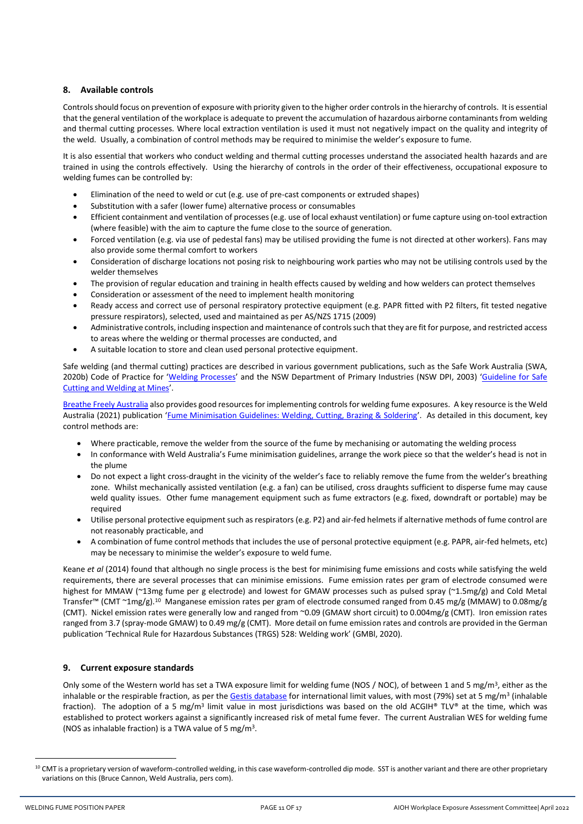## <span id="page-10-0"></span>**8. Available controls**

Controls should focus on prevention of exposure with priority given to the higher order controlsin the hierarchy of controls. It is essential that the general ventilation of the workplace is adequate to prevent the accumulation of hazardous airborne contaminants from welding and thermal cutting processes. Where local extraction ventilation is used it must not negatively impact on the quality and integrity of the weld. Usually, a combination of control methods may be required to minimise the welder's exposure to fume.

It is also essential that workers who conduct welding and thermal cutting processes understand the associated health hazards and are trained in using the controls effectively. Using the hierarchy of controls in the order of their effectiveness, occupational exposure to welding fumes can be controlled by:

- Elimination of the need to weld or cut (e.g. use of pre-cast components or extruded shapes)
- Substitution with a safer (lower fume) alternative process or consumables
- Efficient containment and ventilation of processes (e.g. use of local exhaust ventilation) or fume capture using on-tool extraction (where feasible) with the aim to capture the fume close to the source of generation.
- Forced ventilation (e.g. via use of pedestal fans) may be utilised providing the fume is not directed at other workers). Fans may also provide some thermal comfort to workers
- Consideration of discharge locations not posing risk to neighbouring work parties who may not be utilising controls used by the welder themselves
- The provision of regular education and training in health effects caused by welding and how welders can protect themselves
- Consideration or assessment of the need to implement health monitoring
- Ready access and correct use of personal respiratory protective equipment (e.g. PAPR fitted with P2 filters, fit tested negative pressure respirators), selected, used and maintained as per AS/NZS 1715 (2009)
- Administrative controls, including inspection and maintenance of controls such that they are fit for purpose, and restricted access to areas where the welding or thermal processes are conducted, and
- A suitable location to store and clean used personal protective equipment.

Safe welding (and thermal cutting) practices are described in various government publications, such as the Safe Work Australia (SWA, 2020b) Code of Practice for '[Welding Processes](https://www.safework.nsw.gov.au/__data/assets/pdf_file/0014/52160/Welding-processes-COP.pdf)' and the NSW Department of Primary Industries (NSW DPI, 2003) 'Guideline for Safe [Cutting and Welding at Mines](https://www.resourcesregulator.nsw.gov.au/__data/assets/pdf_file/0008/419462/MDG-25.pdf)'.

[Breathe Freely Australia](https://www.breathefreelyaustralia.org.au/welding/) also provides good resources for implementing controls for welding fume exposures. A key resource is the Weld Australia (2021) publication '[Fume Minimisation Guidelines: Welding, Cutting, Brazing & Soldering](https://portal.weldaustralia.com.au/resources/product-details/?id=cb4b7919-4325-eb11-a813-000d3ad25b79)'. As detailed in this document, key control methods are:

- Where practicable, remove the welder from the source of the fume by mechanising or automating the welding process
- In conformance with Weld Australia's Fume minimisation guidelines, arrange the work piece so that the welder's head is not in the plume
- Do not expect a light cross-draught in the vicinity of the welder's face to reliably remove the fume from the welder's breathing zone. Whilst mechanically assisted ventilation (e.g. a fan) can be utilised, cross draughts sufficient to disperse fume may cause weld quality issues. Other fume management equipment such as fume extractors (e.g. fixed, downdraft or portable) may be required
- Utilise personal protective equipment such as respirators (e.g. P2) and air-fed helmets if alternative methods of fume control are not reasonably practicable, and
- A combination of fume control methods that includes the use of personal protective equipment (e.g. PAPR, air-fed helmets, etc) may be necessary to minimise the welder's exposure to weld fume.

Keane *et al* (2014) found that although no single process is the best for minimising fume emissions and costs while satisfying the weld requirements, there are several processes that can minimise emissions. Fume emission rates per gram of electrode consumed were highest for MMAW (~13mg fume per g electrode) and lowest for GMAW processes such as pulsed spray (~1.5mg/g) and Cold Metal Transfer™ (CMT ~1mg/g).<sup>10</sup> Manganese emission rates per gram of electrode consumed ranged from 0.45 mg/g (MMAW) to 0.08mg/g (CMT). Nickel emission rates were generally low and ranged from ~0.09 (GMAW short circuit) to 0.004mg/g (CMT). Iron emission rates ranged from 3.7 (spray-mode GMAW) to 0.49 mg/g (CMT). More detail on fume emission rates and controls are provided in the German publication 'Technical Rule for Hazardous Substances (TRGS) 528: Welding work' (GMBl, 2020).

# <span id="page-10-1"></span>**9. Current exposure standards**

Only some of the Western world has set a TWA exposure limit for welding fume (NOS / NOC), of between 1 and 5 mg/m<sup>3</sup>, either as the inhalable or the respirable fraction, as per the <u>Gestis database</u> for international limit values, with most (79%) set at 5 mg/m<sup>3</sup> (inhalable fraction). The adoption of a 5 mg/m<sup>3</sup> limit value in most jurisdictions was based on the old ACGIH® TLV® at the time, which was established to protect workers against a significantly increased risk of metal fume fever. The current Australian WES for welding fume (NOS as inhalable fraction) is a TWA value of 5 mg/m<sup>3</sup> .

<sup>&</sup>lt;sup>10</sup> CMT is a proprietary version of waveform-controlled welding, in this case waveform-controlled dip mode. SST is another variant and there are other proprietary variations on this (Bruce Cannon, Weld Australia, pers com).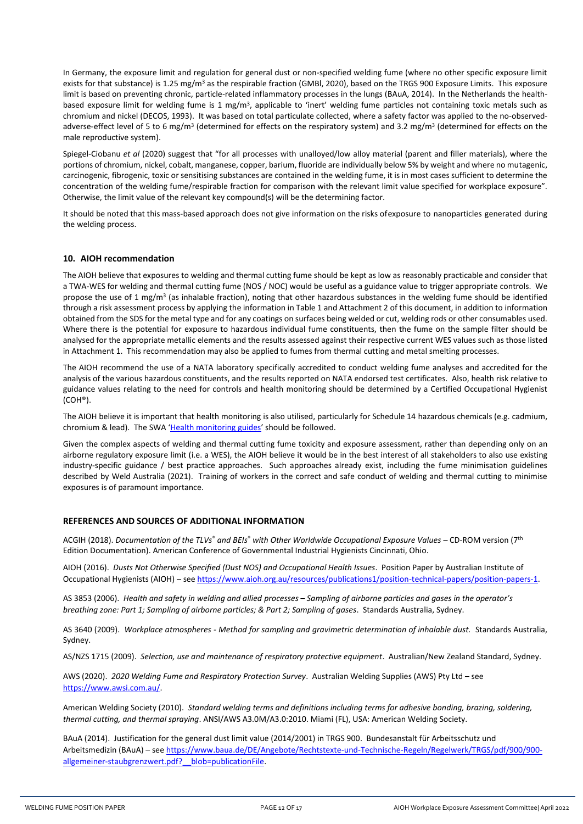In Germany, the exposure limit and regulation for general dust or non-specified welding fume (where no other specific exposure limit exists for that substance) is 1.25 mg/m<sup>3</sup> as the respirable fraction (GMBI, 2020), based on the TRGS 900 Exposure Limits. This exposure limit is based on preventing chronic, particle-related inflammatory processes in the lungs (BAuA, 2014). In the Netherlands the healthbased exposure limit for welding fume is 1 mg/m<sup>3</sup>, applicable to 'inert' welding fume particles not containing toxic metals such as chromium and nickel (DECOS, 1993). It was based on total particulate collected, where a safety factor was applied to the no-observedadverse-effect level of 5 to 6 mg/m<sup>3</sup> (determined for effects on the respiratory system) and 3.2 mg/m<sup>3</sup> (determined for effects on the male reproductive system).

Spiegel-Ciobanu *et al* (2020) suggest that "for all processes with unalloyed/low alloy material (parent and filler materials), where the portions of chromium, nickel, cobalt, manganese, copper, barium, fluoride are individually below 5% by weight and where no mutagenic, carcinogenic, fibrogenic, toxic or sensitising substances are contained in the welding fume, it is in most cases sufficient to determine the concentration of the welding fume/respirable fraction for comparison with the relevant limit value specified for workplace exposure". Otherwise, the limit value of the relevant key compound(s) will be the determining factor.

It should be noted that this mass-based approach does not give information on the risks ofexposure to nanoparticles generated during the welding process.

#### <span id="page-11-0"></span>**10. AIOH recommendation**

The AIOH believe that exposures to welding and thermal cutting fume should be kept as low as reasonably practicable and consider that a TWA-WES for welding and thermal cutting fume (NOS / NOC) would be useful as a guidance value to trigger appropriate controls. We propose the use of 1 mg/m<sup>3</sup> (as inhalable fraction), noting that other hazardous substances in the welding fume should be identified through a risk assessment process by applying the information in Table 1 and Attachment 2 of this document, in addition to information obtained from the SDS for the metal type and for any coatings on surfaces being welded or cut, welding rods or other consumables used. Where there is the potential for exposure to hazardous individual fume constituents, then the fume on the sample filter should be analysed for the appropriate metallic elements and the results assessed against their respective current WES values such as those listed in Attachment 1. This recommendation may also be applied to fumes from thermal cutting and metal smelting processes.

The AIOH recommend the use of a NATA laboratory specifically accredited to conduct welding fume analyses and accredited for the analysis of the various hazardous constituents, and the results reported on NATA endorsed test certificates. Also, health risk relative to guidance values relating to the need for controls and health monitoring should be determined by a Certified Occupational Hygienist (COH®).

The AIOH believe it is important that health monitoring is also utilised, particularly for Schedule 14 hazardous chemicals (e.g. cadmium, chromium & lead). The SWA '[Health monitoring guides](https://www.safeworkaustralia.gov.au/collection/health-monitoring-guides)' should be followed.

Given the complex aspects of welding and thermal cutting fume toxicity and exposure assessment, rather than depending only on an airborne regulatory exposure limit (i.e. a WES), the AIOH believe it would be in the best interest of all stakeholders to also use existing industry-specific guidance / best practice approaches. Such approaches already exist, including the fume minimisation guidelines described by Weld Australia (2021). Training of workers in the correct and safe conduct of welding and thermal cutting to minimise exposures is of paramount importance.

#### <span id="page-11-1"></span>**REFERENCES AND SOURCES OF ADDITIONAL INFORMATION**

ACGIH (2018). *Documentation of the TLVs*® *and BEIs*® *with Other Worldwide Occupational Exposure Values* – CD-ROM version (7 th Edition Documentation). American Conference of Governmental Industrial Hygienists Cincinnati, Ohio.

AIOH (2016). *Dusts Not Otherwise Specified (Dust NOS) and Occupational Health Issues*. Position Paper by Australian Institute of Occupational Hygienists (AIOH) – se[e https://www.aioh.org.au/resources/publications1/position-technical-papers/position-papers-1.](https://www.aioh.org.au/resources/publications1/position-technical-papers/position-papers-1)

AS 3853 (2006). *Health and safety in welding and allied processes – Sampling of airborne particles and gases in the operator's breathing zone: Part 1; Sampling of airborne particles; & Part 2; Sampling of gases*. Standards Australia, Sydney.

AS 3640 (2009). *Workplace atmospheres - Method for sampling and gravimetric determination of inhalable dust.* Standards Australia, Sydney.

AS/NZS 1715 (2009). *Selection, use and maintenance of respiratory protective equipment*. Australian/New Zealand Standard, Sydney.

AWS (2020). *2020 Welding Fume and Respiratory Protection Survey*. Australian Welding Supplies (AWS) Pty Ltd – see [https://www.awsi.com.au/.](https://www.awsi.com.au/) 

American Welding Society (2010). *Standard welding terms and definitions including terms for adhesive bonding, brazing, soldering, thermal cutting, and thermal spraying*. ANSI/AWS A3.0M/A3.0:2010. Miami (FL), USA: American Welding Society.

BAuA (2014). Justification for the general dust limit value (2014/2001) in TRGS 900. Bundesanstalt für Arbeitsschutz und Arbeitsmedizin (BAuA) – see [https://www.baua.de/DE/Angebote/Rechtstexte-und-Technische-Regeln/Regelwerk/TRGS/pdf/900/900](https://www.baua.de/DE/Angebote/Rechtstexte-und-Technische-Regeln/Regelwerk/TRGS/pdf/900/900-allgemeiner-staubgrenzwert.pdf?__blob=publicationFile) [allgemeiner-staubgrenzwert.pdf?\\_\\_blob=publicationFile.](https://www.baua.de/DE/Angebote/Rechtstexte-und-Technische-Regeln/Regelwerk/TRGS/pdf/900/900-allgemeiner-staubgrenzwert.pdf?__blob=publicationFile)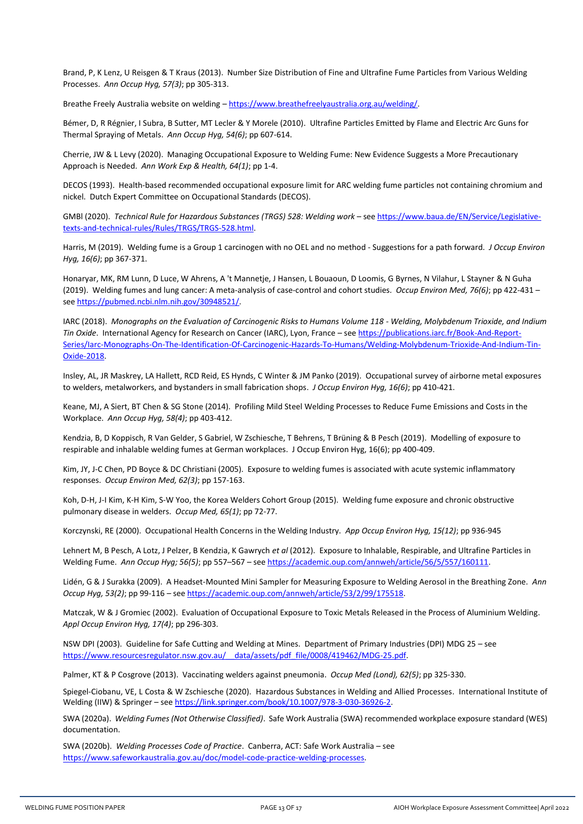Brand, P, K Lenz, U Reisgen & T Kraus (2013). Number Size Distribution of Fine and Ultrafine Fume Particles from Various Welding Processes. *Ann Occup Hyg, 57(3)*; pp 305-313.

Breathe Freely Australia website on welding – [https://www.breathefreelyaustralia.org.au/welding/.](https://www.breathefreelyaustralia.org.au/welding/) 

Bémer, D, R Régnier, I Subra, B Sutter, MT Lecler & Y Morele (2010). Ultrafine Particles Emitted by Flame and Electric Arc Guns for Thermal Spraying of Metals. *Ann Occup Hyg, 54(6)*; pp 607-614.

Cherrie, JW & L Levy (2020). Managing Occupational Exposure to Welding Fume: New Evidence Suggests a More Precautionary Approach is Needed. *Ann Work Exp & Health, 64(1)*; pp 1-4.

DECOS (1993). Health-based recommended occupational exposure limit for ARC welding fume particles not containing chromium and nickel. Dutch Expert Committee on Occupational Standards (DECOS).

GMBl (2020). *Technical Rule for Hazardous Substances (TRGS) 528: Welding work* – se[e https://www.baua.de/EN/Service/Legislative](https://www.baua.de/EN/Service/Legislative-texts-and-technical-rules/Rules/TRGS/TRGS-528.html)[texts-and-technical-rules/Rules/TRGS/TRGS-528.html.](https://www.baua.de/EN/Service/Legislative-texts-and-technical-rules/Rules/TRGS/TRGS-528.html)

Harris, M (2019). Welding fume is a Group 1 carcinogen with no OEL and no method - Suggestions for a path forward. *J Occup Environ Hyg, 16(6)*; pp 367-371.

Honaryar, MK, RM Lunn, D Luce, W Ahrens, A 't Mannetje, J Hansen, L Bouaoun, D Loomis, G Byrnes, N Vilahur, L Stayner & N Guha (2019). Welding fumes and lung cancer: A meta-analysis of case-control and cohort studies. *Occup Environ Med, 76(6)*; pp 422-431 – see [https://pubmed.ncbi.nlm.nih.gov/30948521/.](https://pubmed.ncbi.nlm.nih.gov/30948521/)

IARC (2018). *Monographs on the Evaluation of Carcinogenic Risks to Humans Volume 118 - Welding, Molybdenum Trioxide, and Indium Tin Oxide*. International Agency for Research on Cancer (IARC), Lyon, France – see [https://publications.iarc.fr/Book-And-Report-](https://publications.iarc.fr/Book-And-Report-Series/Iarc-Monographs-On-The-Identification-Of-Carcinogenic-Hazards-To-Humans/Welding-Molybdenum-Trioxide-And-Indium-Tin-Oxide-2018)[Series/Iarc-Monographs-On-The-Identification-Of-Carcinogenic-Hazards-To-Humans/Welding-Molybdenum-Trioxide-And-Indium-Tin-](https://publications.iarc.fr/Book-And-Report-Series/Iarc-Monographs-On-The-Identification-Of-Carcinogenic-Hazards-To-Humans/Welding-Molybdenum-Trioxide-And-Indium-Tin-Oxide-2018)[Oxide-2018.](https://publications.iarc.fr/Book-And-Report-Series/Iarc-Monographs-On-The-Identification-Of-Carcinogenic-Hazards-To-Humans/Welding-Molybdenum-Trioxide-And-Indium-Tin-Oxide-2018) 

Insley, AL, JR Maskrey, LA Hallett, RCD Reid, ES Hynds, C Winter & JM Panko (2019). Occupational survey of airborne metal exposures to welders, metalworkers, and bystanders in small fabrication shops. *J Occup Environ Hyg, 16(6)*; pp 410-421.

Keane, MJ, A Siert, BT Chen & SG Stone (2014). Profiling Mild Steel Welding Processes to Reduce Fume Emissions and Costs in the Workplace. *Ann Occup Hyg, 58(4)*; pp 403-412.

Kendzia, B, D Koppisch, R Van Gelder, S Gabriel, W Zschiesche, T Behrens, T Brüning & B Pesch (2019). Modelling of exposure to respirable and inhalable welding fumes at German workplaces. J Occup Environ Hyg, 16(6); pp 400-409.

Kim, JY, J-C Chen, PD Boyce & DC Christiani (2005). Exposure to welding fumes is associated with acute systemic inflammatory responses. *Occup Environ Med, 62(3)*; pp 157-163.

Koh, D-H, J-I Kim, K-H Kim, S-W Yoo, the Korea Welders Cohort Group (2015). Welding fume exposure and chronic obstructive pulmonary disease in welders. *Occup Med, 65(1)*; pp 72-77.

Korczynski, RE (2000). Occupational Health Concerns in the Welding Industry. *App Occup Environ Hyg, 15(12)*; pp 936-945

Lehnert M, B Pesch, A Lotz, J Pelzer, B Kendzia, K Gawrych *et al* (2012). Exposure to Inhalable, Respirable, and Ultrafine Particles in Welding Fume. *Ann Occup Hyg; 56(5)*; pp 557–567 – se[e https://academic.oup.com/annweh/article/56/5/557/160111.](https://academic.oup.com/annweh/article/56/5/557/160111)

Lidén, G & J Surakka (2009). A Headset-Mounted Mini Sampler for Measuring Exposure to Welding Aerosol in the Breathing Zone. *Ann Occup Hyg, 53(2)*; pp 99-116 – se[e https://academic.oup.com/annweh/article/53/2/99/175518.](https://academic.oup.com/annweh/article/53/2/99/175518)

Matczak, W & J Gromiec (2002). Evaluation of Occupational Exposure to Toxic Metals Released in the Process of Aluminium Welding. *Appl Occup Environ Hyg, 17(4)*; pp 296-303.

NSW DPI (2003). Guideline for Safe Cutting and Welding at Mines. Department of Primary Industries (DPI) MDG 25 – see [https://www.resourcesregulator.nsw.gov.au/\\_\\_data/assets/pdf\\_file/0008/419462/MDG-25.pdf.](https://www.resourcesregulator.nsw.gov.au/__data/assets/pdf_file/0008/419462/MDG-25.pdf)

Palmer, KT & P Cosgrove (2013). Vaccinating welders against pneumonia. *Occup Med (Lond), 62(5)*; pp 325-330.

Spiegel-Ciobanu, VE, L Costa & W Zschiesche (2020). Hazardous Substances in Welding and Allied Processes. International Institute of Welding (IIW) & Springer - se[e https://link.springer.com/book/10.1007/978-3-030-36926-2.](https://link.springer.com/book/10.1007/978-3-030-36926-2)

SWA (2020a). *Welding Fumes (Not Otherwise Classified)*. Safe Work Australia (SWA) recommended workplace exposure standard (WES) documentation.

SWA (2020b). *Welding Processes Code of Practice*. Canberra, ACT: Safe Work Australia – see [https://www.safeworkaustralia.gov.au/doc/model-code-practice-welding-processes.](https://www.safeworkaustralia.gov.au/doc/model-code-practice-welding-processes)

WELDING FUME POSITION PAPER **PAGE 13 OF 17** PAGE 13 OF 17 AIOH Workplace Exposure Assessment Committee| April 2022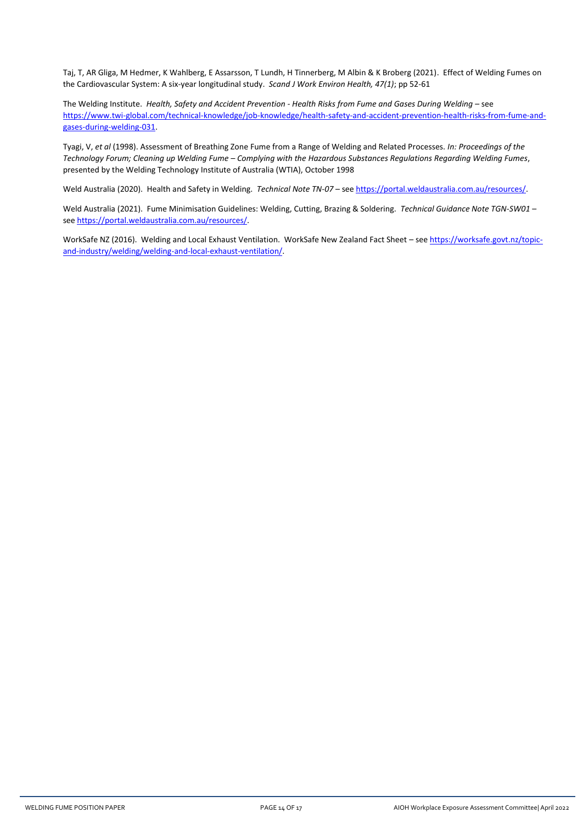Taj, T, AR Gliga, M Hedmer, K Wahlberg, E Assarsson, T Lundh, H Tinnerberg, M Albin & K Broberg (2021). Effect of Welding Fumes on the Cardiovascular System: A six-year longitudinal study. *Scand J Work Environ Health, 47(1)*; pp 52-61

The Welding Institute. *Health, Safety and Accident Prevention - Health Risks from Fume and Gases During Welding* – see [https://www.twi-global.com/technical-knowledge/job-knowledge/health-safety-and-accident-prevention-health-risks-from-fume-and](https://www.twi-global.com/technical-knowledge/job-knowledge/health-safety-and-accident-prevention-health-risks-from-fume-and-gases-during-welding-031)[gases-during-welding-031.](https://www.twi-global.com/technical-knowledge/job-knowledge/health-safety-and-accident-prevention-health-risks-from-fume-and-gases-during-welding-031)

Tyagi, V, *et al* (1998). Assessment of Breathing Zone Fume from a Range of Welding and Related Processes. *In: Proceedings of the Technology Forum; Cleaning up Welding Fume – Complying with the Hazardous Substances Regulations Regarding Welding Fumes*, presented by the Welding Technology Institute of Australia (WTIA), October 1998

Weld Australia (2020). Health and Safety in Welding. *Technical Note TN-07* – se[e https://portal.weldaustralia.com.au/resources/.](https://portal.weldaustralia.com.au/resources/)

Weld Australia (2021). Fume Minimisation Guidelines: Welding, Cutting, Brazing & Soldering. *Technical Guidance Note TGN-SW01* – see [https://portal.weldaustralia.com.au/resources/.](https://portal.weldaustralia.com.au/resources/)

WorkSafe NZ (2016). Welding and Local Exhaust Ventilation. WorkSafe New Zealand Fact Sheet – see [https://worksafe.govt.nz/topic](https://worksafe.govt.nz/topic-and-industry/welding/welding-and-local-exhaust-ventilation/)[and-industry/welding/welding-and-local-exhaust-ventilation/.](https://worksafe.govt.nz/topic-and-industry/welding/welding-and-local-exhaust-ventilation/)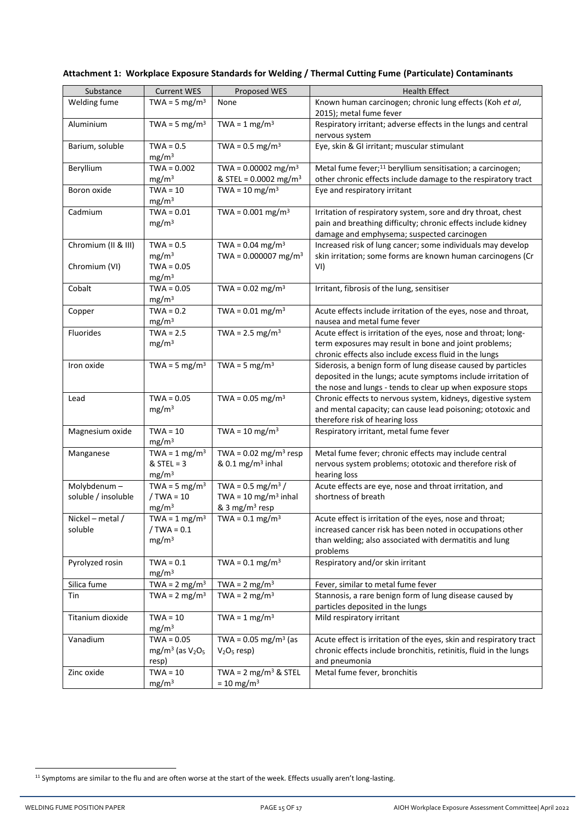| Substance           | <b>Current WES</b>                | Proposed WES                        | <b>Health Effect</b>                                                                                        |
|---------------------|-----------------------------------|-------------------------------------|-------------------------------------------------------------------------------------------------------------|
| Welding fume        | TWA = $5 \text{ mg/m}^3$          | None                                | Known human carcinogen; chronic lung effects (Koh et al,<br>2015); metal fume fever                         |
| Aluminium           | TWA = $5 \text{ mg/m}^3$          | TWA = $1 \text{ mg/m}^3$            | Respiratory irritant; adverse effects in the lungs and central<br>nervous system                            |
| Barium, soluble     | $TWA = 0.5$                       | TWA = $0.5 \text{ mg/m}^3$          | Eye, skin & GI irritant; muscular stimulant                                                                 |
|                     | mg/m <sup>3</sup>                 |                                     |                                                                                                             |
| Beryllium           | $TWA = 0.002$                     | TWA = $0.00002$ mg/m <sup>3</sup>   | Metal fume fever; <sup>11</sup> beryllium sensitisation; a carcinogen;                                      |
|                     | mg/m <sup>3</sup>                 | & STEL = $0.0002$ mg/m <sup>3</sup> | other chronic effects include damage to the respiratory tract                                               |
| Boron oxide         | $TWA = 10$<br>mg/m <sup>3</sup>   | TWA = $10 \text{ mg/m}^3$           | Eye and respiratory irritant                                                                                |
| Cadmium             | $TWA = 0.01$                      | TWA = $0.001$ mg/m <sup>3</sup>     | Irritation of respiratory system, sore and dry throat, chest                                                |
|                     | mg/m <sup>3</sup>                 |                                     | pain and breathing difficulty; chronic effects include kidney<br>damage and emphysema; suspected carcinogen |
| Chromium (II & III) | $TWA = 0.5$                       | TWA = $0.04 \text{ mg/m}^3$         | Increased risk of lung cancer; some individuals may develop                                                 |
|                     | mg/m <sup>3</sup>                 | TWA = $0.000007$ mg/m <sup>3</sup>  | skin irritation; some forms are known human carcinogens (Cr                                                 |
| Chromium (VI)       | $TWA = 0.05$<br>mg/m <sup>3</sup> |                                     | VI)                                                                                                         |
| Cobalt              | $TWA = 0.05$<br>mg/m <sup>3</sup> | TWA = $0.02$ mg/m <sup>3</sup>      | Irritant, fibrosis of the lung, sensitiser                                                                  |
| Copper              | $TWA = 0.2$                       | TWA = $0.01 \text{ mg/m}^3$         | Acute effects include irritation of the eyes, nose and throat,                                              |
|                     | mg/m <sup>3</sup>                 |                                     | nausea and metal fume fever                                                                                 |
| Fluorides           | $TWA = 2.5$                       | TWA = $2.5 \text{ mg/m}^3$          | Acute effect is irritation of the eyes, nose and throat; long-                                              |
|                     | mg/m <sup>3</sup>                 |                                     | term exposures may result in bone and joint problems;                                                       |
|                     |                                   |                                     | chronic effects also include excess fluid in the lungs                                                      |
| Iron oxide          | TWA = $5 \text{ mg/m}^3$          | TWA = $5 \text{ mg/m}^3$            | Siderosis, a benign form of lung disease caused by particles                                                |
|                     |                                   |                                     | deposited in the lungs; acute symptoms include irritation of                                                |
|                     |                                   |                                     | the nose and lungs - tends to clear up when exposure stops                                                  |
| Lead                | $TWA = 0.05$                      | TWA = $0.05$ mg/m <sup>3</sup>      | Chronic effects to nervous system, kidneys, digestive system                                                |
|                     | mg/m <sup>3</sup>                 |                                     | and mental capacity; can cause lead poisoning; ototoxic and                                                 |
|                     |                                   |                                     | therefore risk of hearing loss                                                                              |
| Magnesium oxide     | $TWA = 10$                        | TWA = $10 \text{ mg/m}^3$           | Respiratory irritant, metal fume fever                                                                      |
|                     | mg/m <sup>3</sup>                 |                                     |                                                                                                             |
| Manganese           | TWA = $1 \text{ mg/m}^3$          | TWA = $0.02$ mg/m <sup>3</sup> resp | Metal fume fever; chronic effects may include central                                                       |
|                     | $&$ STEL = 3                      | & 0.1 mg/m <sup>3</sup> inhal       | nervous system problems; ototoxic and therefore risk of                                                     |
|                     | mg/m <sup>3</sup>                 |                                     | hearing loss                                                                                                |
| Molybdenum-         | TWA = $5 \text{ mg/m}^3$          | TWA = $0.5$ mg/m <sup>3</sup> /     | Acute effects are eye, nose and throat irritation, and                                                      |
| soluble / insoluble | $/TWA = 10$                       | TWA = 10 mg/m <sup>3</sup> inhal    | shortness of breath                                                                                         |
|                     | mg/m <sup>3</sup>                 | & 3 mg/m <sup>3</sup> resp          |                                                                                                             |
| Nickel - metal /    | TWA = $1 \text{ mg/m}^3$          | TWA = $0.1 \text{ mg/m}^3$          | Acute effect is irritation of the eyes, nose and throat;                                                    |
| soluble             | $/$ TWA = 0.1                     |                                     | increased cancer risk has been noted in occupations other                                                   |
|                     | mg/m <sup>3</sup>                 |                                     | than welding; also associated with dermatitis and lung                                                      |
|                     |                                   |                                     | problems                                                                                                    |
| Pyrolyzed rosin     | $TWA = 0.1$                       | TWA = $0.1 \text{ mg/m}^3$          | Respiratory and/or skin irritant                                                                            |
|                     | mg/m <sup>3</sup>                 |                                     |                                                                                                             |
| Silica fume         | TWA = $2 \text{ mg/m}^3$          | TWA = $2 \text{ mg/m}^3$            | Fever, similar to metal fume fever                                                                          |
| Tin                 | TWA = $2 \text{ mg/m}^3$          | TWA = $2 \text{ mg/m}^3$            | Stannosis, a rare benign form of lung disease caused by                                                     |
|                     |                                   |                                     | particles deposited in the lungs                                                                            |
| Titanium dioxide    | $TWA = 10$                        | TWA = $1 \text{ mg/m}^3$            | Mild respiratory irritant                                                                                   |
|                     | mg/m <sup>3</sup>                 |                                     |                                                                                                             |
| Vanadium            | $TWA = 0.05$                      | TWA = $0.05$ mg/m <sup>3</sup> (as  | Acute effect is irritation of the eyes, skin and respiratory tract                                          |
|                     | mg/m <sup>3</sup> (as $V2O5$      | $V2O5$ resp)                        | chronic effects include bronchitis, retinitis, fluid in the lungs                                           |
|                     | resp)                             |                                     | and pneumonia                                                                                               |
| Zinc oxide          | $TWA = 10$                        | TWA = $2 \text{ mg/m}^3$ & STEL     | Metal fume fever, bronchitis                                                                                |
|                     | mg/m <sup>3</sup>                 | $= 10$ mg/m <sup>3</sup>            |                                                                                                             |

# <span id="page-14-0"></span>**Attachment 1: Workplace Exposure Standards for Welding / Thermal Cutting Fume (Particulate) Contaminants**

<sup>&</sup>lt;sup>11</sup> Symptoms are similar to the flu and are often worse at the start of the week. Effects usually aren't long-lasting.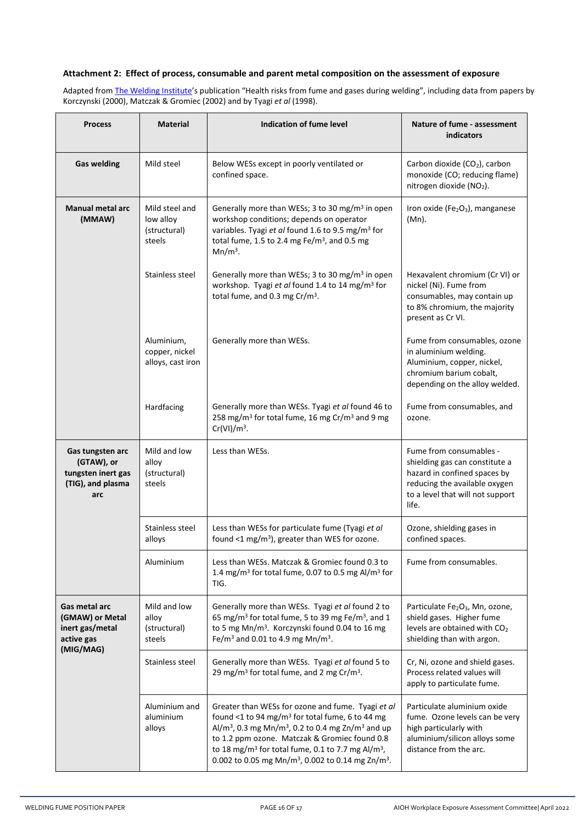## <span id="page-15-0"></span>**Attachment 2: Effect of process, consumable and parent metal composition on the assessment of exposure**

Adapted fro[m The Welding Institute](https://www.twi-global.com/technical-knowledge/job-knowledge/health-safety-and-accident-prevention-health-risks-from-fume-and-gases-during-welding-031)'s publication "Health risks from fume and gases during welding", including data from papers by Korczynski (2000), Matczak & Gromiec (2002) and by Tyagi *et al* (1998).

| <b>Process</b>                                                                   | <b>Material</b>                                       | Indication of fume level                                                                                                                                                                                                                                                                                                                                                                                             | Nature of fume - assessment<br>indicators                                                                                                                               |
|----------------------------------------------------------------------------------|-------------------------------------------------------|----------------------------------------------------------------------------------------------------------------------------------------------------------------------------------------------------------------------------------------------------------------------------------------------------------------------------------------------------------------------------------------------------------------------|-------------------------------------------------------------------------------------------------------------------------------------------------------------------------|
| <b>Gas welding</b>                                                               | Mild steel                                            | Below WESs except in poorly ventilated or<br>confined space.                                                                                                                                                                                                                                                                                                                                                         | Carbon dioxide (CO <sub>2</sub> ), carbon<br>monoxide (CO; reducing flame)<br>nitrogen dioxide (NO2).                                                                   |
| <b>Manual metal arc</b><br>(MMAW)                                                | Mild steel and<br>low alloy<br>(structural)<br>steels | Generally more than WESs; 3 to 30 mg/m <sup>3</sup> in open<br>workshop conditions; depends on operator<br>variables. Tyagi et al found 1.6 to 9.5 mg/m <sup>3</sup> for<br>total fume, 1.5 to 2.4 mg Fe/m <sup>3</sup> , and 0.5 mg<br>$Mn/m3$ .                                                                                                                                                                    | Iron oxide (Fe <sub>2</sub> O <sub>3</sub> ), manganese<br>(Mn).                                                                                                        |
|                                                                                  | Stainless steel                                       | Generally more than WESs; 3 to 30 mg/m <sup>3</sup> in open<br>workshop. Tyagi et al found 1.4 to 14 mg/m <sup>3</sup> for<br>total fume, and 0.3 mg Cr/m <sup>3</sup> .                                                                                                                                                                                                                                             | Hexavalent chromium (Cr VI) or<br>nickel (Ni). Fume from<br>consumables, may contain up<br>to 8% chromium, the majority<br>present as Cr VI.                            |
|                                                                                  | Aluminium,<br>copper, nickel<br>alloys, cast iron     | Generally more than WESs.                                                                                                                                                                                                                                                                                                                                                                                            | Fume from consumables, ozone<br>in aluminium welding.<br>Aluminium, copper, nickel,<br>chromium barium cobalt,<br>depending on the alloy welded.                        |
|                                                                                  | Hardfacing                                            | Generally more than WESs. Tyagi et al found 46 to<br>258 mg/m <sup>3</sup> for total fume, 16 mg Cr/m <sup>3</sup> and 9 mg<br>$Cr(VI)/m3$ .                                                                                                                                                                                                                                                                         | Fume from consumables, and<br>ozone.                                                                                                                                    |
| Gas tungsten arc<br>(GTAW), or<br>tungsten inert gas<br>(TIG), and plasma<br>arc | Mild and low<br>alloy<br>(structural)<br>steels       | Less than WESs.                                                                                                                                                                                                                                                                                                                                                                                                      | Fume from consumables -<br>shielding gas can constitute a<br>hazard in confined spaces by<br>reducing the available oxygen<br>to a level that will not support<br>life. |
|                                                                                  | Stainless steel<br>alloys                             | Less than WESs for particulate fume (Tyagi et al<br>found <1 mg/m <sup>3</sup> ), greater than WES for ozone.                                                                                                                                                                                                                                                                                                        | Ozone, shielding gases in<br>confined spaces.                                                                                                                           |
|                                                                                  | Aluminium                                             | Less than WESs. Matczak & Gromiec found 0.3 to<br>1.4 mg/m <sup>3</sup> for total fume, 0.07 to 0.5 mg Al/m <sup>3</sup> for<br>TIG.                                                                                                                                                                                                                                                                                 | Fume from consumables.                                                                                                                                                  |
| Gas metal arc<br>(GMAW) or Metal<br>inert gas/metal<br>active gas<br>(MIG/MAG)   | Mild and low<br>alloy<br>(structural)<br>steels       | Generally more than WESs. Tyagi et al found 2 to<br>65 mg/m <sup>3</sup> for total fume, 5 to 39 mg Fe/m <sup>3</sup> , and 1<br>to 5 mg Mn/m <sup>3</sup> . Korczynski found 0.04 to 16 mg<br>Fe/m <sup>3</sup> and 0.01 to 4.9 mg Mn/m <sup>3</sup> .                                                                                                                                                              | Particulate Fe <sub>2</sub> O <sub>3</sub> , Mn, ozone,<br>shield gases. Higher fume<br>levels are obtained with CO <sub>2</sub><br>shielding than with argon.          |
|                                                                                  | Stainless steel                                       | Generally more than WESs. Tyagi et al found 5 to<br>29 mg/m <sup>3</sup> for total fume, and 2 mg Cr/m <sup>3</sup> .                                                                                                                                                                                                                                                                                                | Cr, Ni, ozone and shield gases.<br>Process related values will<br>apply to particulate fume.                                                                            |
|                                                                                  | Aluminium and<br>aluminium<br>alloys                  | Greater than WESs for ozone and fume. Tyagi et al<br>found <1 to 94 mg/m <sup>3</sup> for total fume, 6 to 44 mg<br>Al/m <sup>3</sup> , 0.3 mg Mn/m <sup>3</sup> , 0.2 to 0.4 mg Zn/m <sup>3</sup> and up<br>to 1.2 ppm ozone. Matczak & Gromiec found 0.8<br>to 18 mg/m <sup>3</sup> for total fume, 0.1 to 7.7 mg Al/m <sup>3</sup> ,<br>0.002 to 0.05 mg Mn/m <sup>3</sup> , 0.002 to 0.14 mg Zn/m <sup>3</sup> . | Particulate aluminium oxide<br>fume. Ozone levels can be very<br>high particularly with<br>aluminium/silicon alloys some<br>distance from the arc.                      |